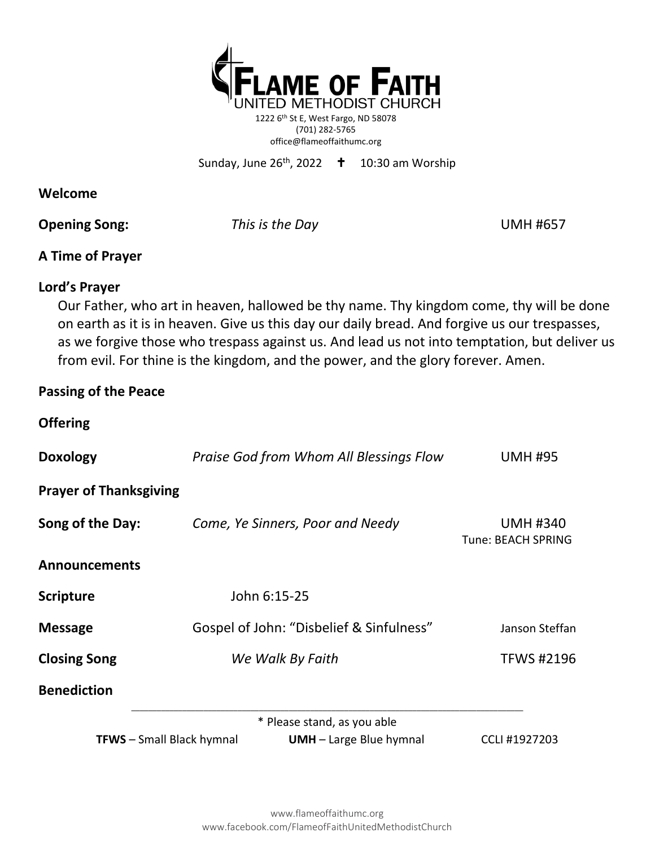

1222 6th St E, West Fargo, ND 58078 (701) 282-5765 office@flameoffaithumc.org

Sunday, June 26<sup>th</sup>, 2022  $\displaystyle\phantom{0}$  **†** 10:30 am Worship

#### **Welcome**

**Opening Song:** *This is the Day* **UMH #657** 

### **A Time of Prayer**

### **Lord's Prayer**

Our Father, who art in heaven, hallowed be thy name. Thy kingdom come, thy will be done on earth as it is in heaven. Give us this day our daily bread. And forgive us our trespasses, as we forgive those who trespass against us. And lead us not into temptation, but deliver us from evil. For thine is the kingdom, and the power, and the glory forever. Amen.

### **Passing of the Peace**

### **Offering**

| <b>Doxology</b>                  | Praise God from Whom All Blessings Flow  | <b>UMH #95</b>                        |
|----------------------------------|------------------------------------------|---------------------------------------|
| <b>Prayer of Thanksgiving</b>    |                                          |                                       |
| Song of the Day:                 | Come, Ye Sinners, Poor and Needy         | <b>UMH #340</b><br>Tune: BEACH SPRING |
| <b>Announcements</b>             |                                          |                                       |
| <b>Scripture</b>                 | John 6:15-25                             |                                       |
| <b>Message</b>                   | Gospel of John: "Disbelief & Sinfulness" | Janson Steffan                        |
| <b>Closing Song</b>              | We Walk By Faith                         | <b>TFWS #2196</b>                     |
| <b>Benediction</b>               |                                          |                                       |
|                                  | * Please stand, as you able              |                                       |
| <b>TFWS</b> - Small Black hymnal | $UMH - Large Blue hymnal$                | CCLI #1927203                         |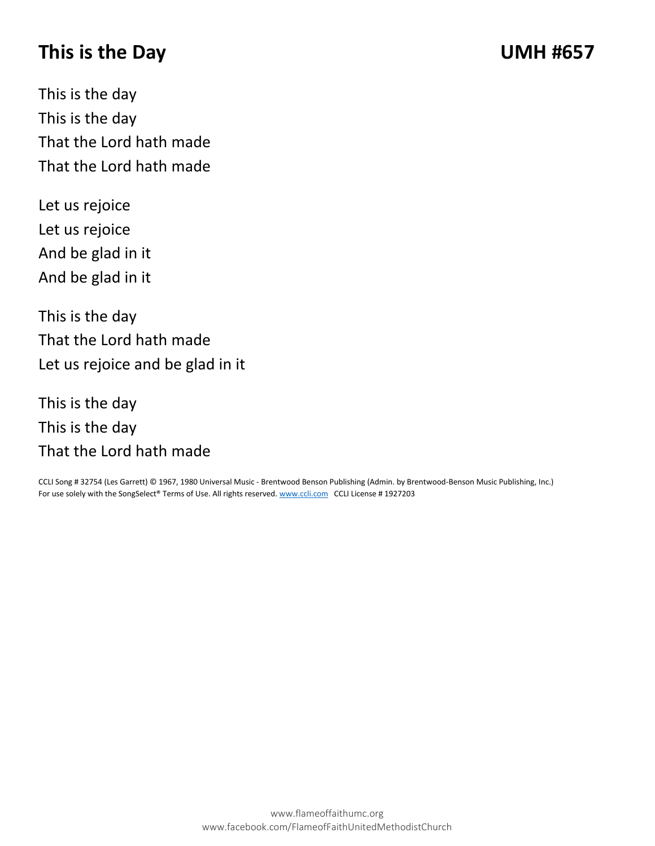# **This is the Day UMH #657**

This is the day This is the day That the Lord hath made That the Lord hath made

Let us rejoice Let us rejoice And be glad in it And be glad in it

This is the day That the Lord hath made Let us rejoice and be glad in it

This is the day This is the day That the Lord hath made

CCLI Song # 32754 (Les Garrett) © 1967, 1980 Universal Music - Brentwood Benson Publishing (Admin. by Brentwood-Benson Music Publishing, Inc.) For use solely with the SongSelect® Terms of Use. All rights reserved[. www.ccli.com](http://www.ccli.com/) CCLI License # 1927203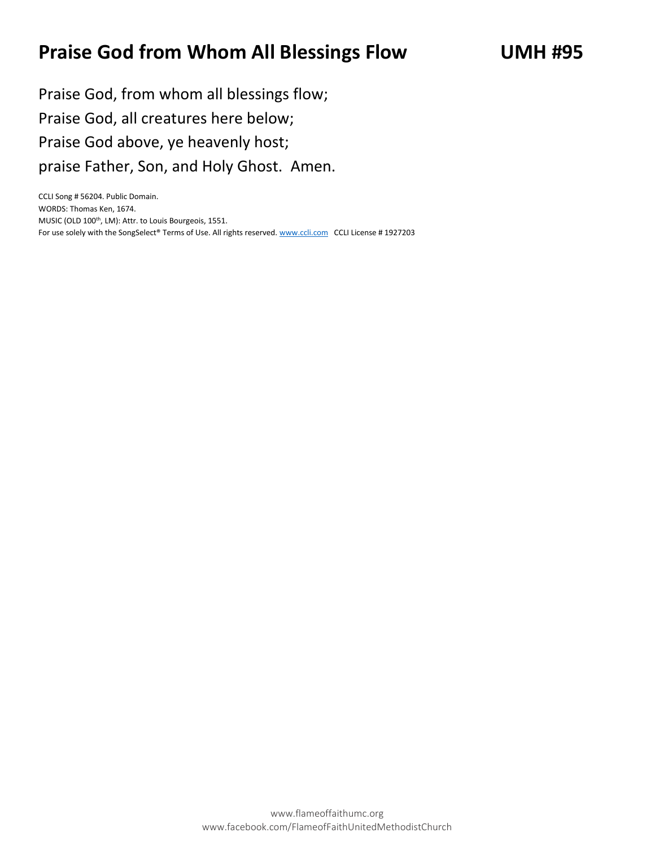# **Praise God from Whom All Blessings Flow UMH #95**

Praise God, from whom all blessings flow; Praise God, all creatures here below; Praise God above, ye heavenly host; praise Father, Son, and Holy Ghost. Amen.

CCLI Song # 56204. Public Domain. WORDS: Thomas Ken, 1674. MUSIC (OLD 100<sup>th</sup>, LM): Attr. to Louis Bourgeois, 1551. For use solely with the SongSelect® Terms of Use. All rights reserved[. www.ccli.com](http://www.ccli.com/) CCLI License # 1927203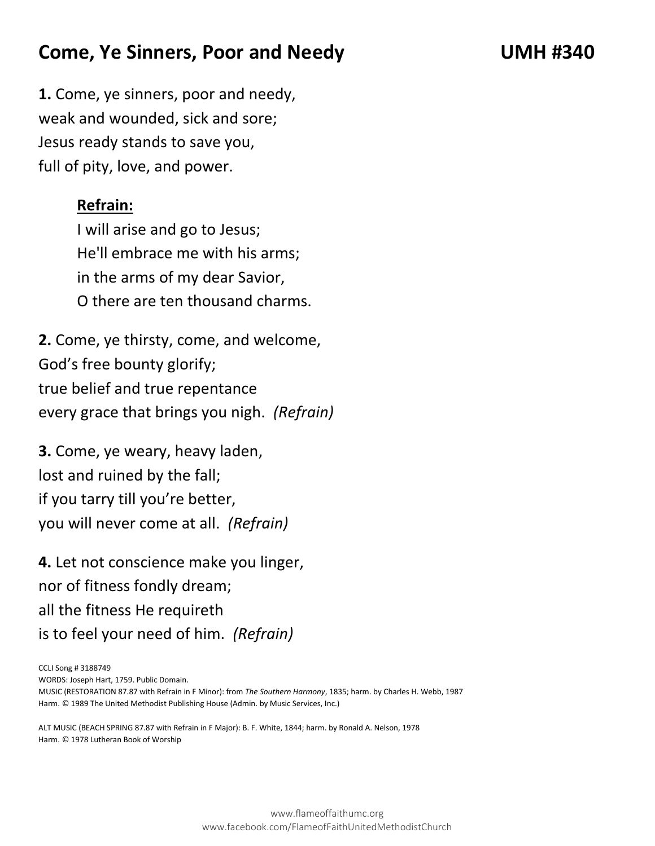# **Come, Ye Sinners, Poor and Needy UMH #340**

**1.** Come, ye sinners, poor and needy, weak and wounded, sick and sore; Jesus ready stands to save you, full of pity, love, and power.

### **Refrain:**

I will arise and go to Jesus; He'll embrace me with his arms; in the arms of my dear Savior, O there are ten thousand charms.

**2.** Come, ye thirsty, come, and welcome, God's free bounty glorify; true belief and true repentance every grace that brings you nigh. *(Refrain)*

**3.** Come, ye weary, heavy laden, lost and ruined by the fall; if you tarry till you're better, you will never come at all. *(Refrain)*

**4.** Let not conscience make you linger, nor of fitness fondly dream; all the fitness He requireth is to feel your need of him. *(Refrain)*

CCLI Song # 3188749

WORDS: Joseph Hart, 1759. Public Domain.

MUSIC (RESTORATION 87.87 with Refrain in F Minor): from *The Southern Harmony*, 1835; harm. by Charles H. Webb, 1987 Harm. © 1989 The United Methodist Publishing House (Admin. by Music Services, Inc.)

ALT MUSIC (BEACH SPRING 87.87 with Refrain in F Major): B. F. White, 1844; harm. by Ronald A. Nelson, 1978 Harm. © 1978 Lutheran Book of Worship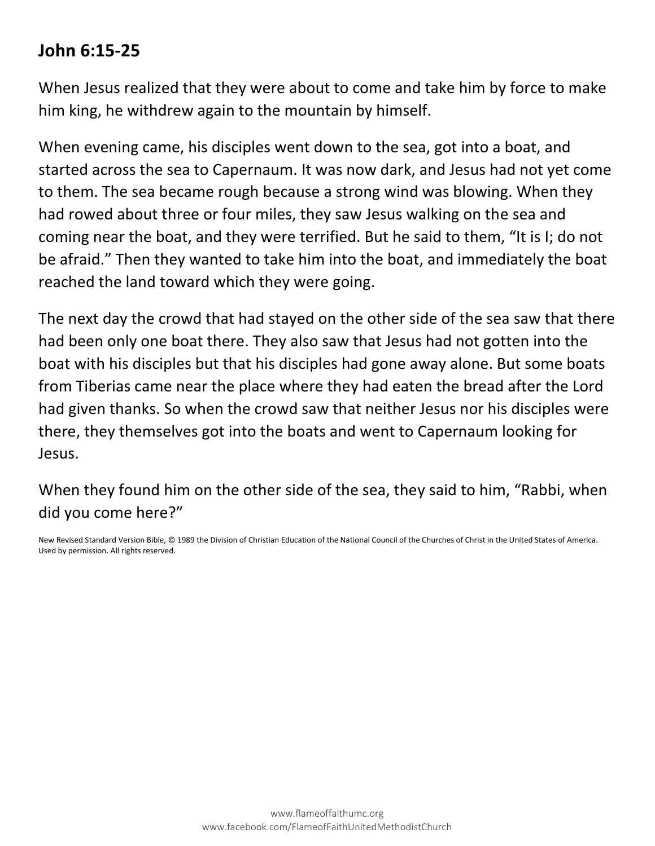### **John 6:15-25**

When Jesus realized that they were about to come and take him by force to make him king, he withdrew again to the mountain by himself.

When evening came, his disciples went down to the sea, got into a boat, and started across the sea to Capernaum. It was now dark, and Jesus had not yet come to them. The sea became rough because a strong wind was blowing. When they had rowed about three or four miles, they saw Jesus walking on the sea and coming near the boat, and they were terrified. But he said to them, "It is I; do not be afraid." Then they wanted to take him into the boat, and immediately the boat reached the land toward which they were going.

The next day the crowd that had stayed on the other side of the sea saw that there had been only one boat there. They also saw that Jesus had not gotten into the boat with his disciples but that his disciples had gone away alone. But some boats from Tiberias came near the place where they had eaten the bread after the Lord had given thanks. So when the crowd saw that neither Jesus nor his disciples were there, they themselves got into the boats and went to Capernaum looking for Jesus.

When they found him on the other side of the sea, they said to him, "Rabbi, when did you come here?"

New Revised Standard Version Bible, © 1989 the Division of Christian Education of the National Council of the Churches of Christ in the United States of America. Used by permission. All rights reserved.